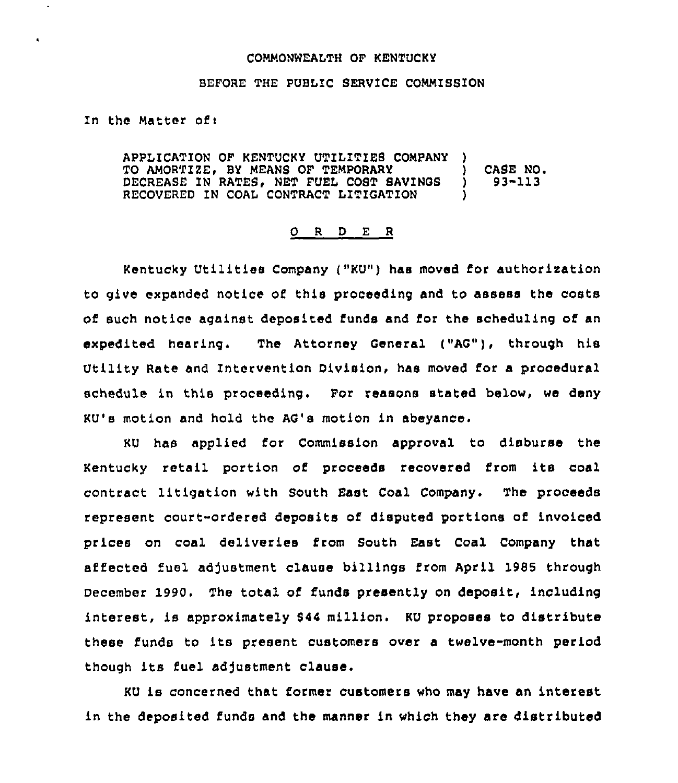## COMMONWEALTH OF KENTUCKY

## BEFORE THE PUBLIC SERVICE COMMISSION

In the Matter of:

 $\ddot{\phantom{0}}$ 

APPLICATION OF KENTUCKY UTILITIES COMPANY ) TO AMORTIZE, BY MEANS OF TEMPORARY (2008) CASE NO.<br>DECREASE IN RATES, NET FUEL COST SAVINGS (2008) 1 DECREASE IN RATES, NET FUEL COST SAVINGS RECOVERED IN COAL CONTRACT LITIGAT1ON )

## O R D E R

Kentucky Utilities Company ("KU") has moved for authorization to give expanded notice of this proceeding and to assess the costs of such notice against deposited funds and for the scheduling of an expedited hearing. The Attorney General ("AG"), through his Utility Rate and Intervention Division, has moved for a procedural schedule in this proceeding. For reasons stated below, we deny KU's motion and hold the AG's motion in abeyance.

KU has applied for Commission approval to disburse the Kentucky retail portion of proceeds recovered irom its coal contract litigation with South East Coal Company. The proceeds represent court-ordered deposits of disputed portions of invoiced prices on coal deliveries from South East Coal Company that affected fuel adjustment clause billings from April 1985 through December 1990. The total of funds presently on deposit, including interest, is approximately \$44 million. KU proposes to distribute these funds to its present customers over a twelve-month period though its fuel adjustment clause.

KU is concerned that former customers who may have an interest in the deposited funds and the manner in which they are distributed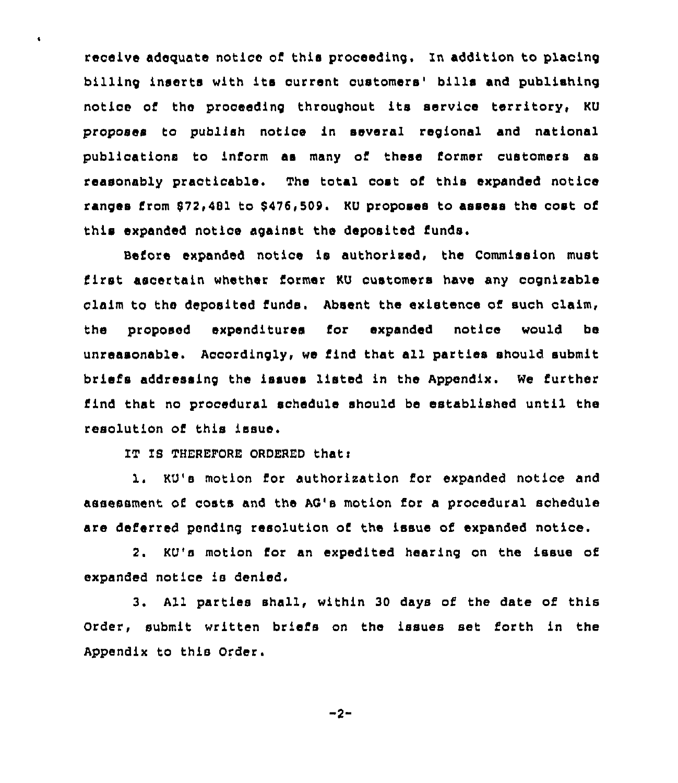receive adequate notice of this proceeding. In addition to placing billing inserts with its current customers' bills and publishing notice of the proceeding throughout its service territory, KU proposes to publish notice in several regional and national publications to inform as many of these former customers as reasonably practicable. The total cost of this expanded notice ranges from \$72,481 to \$476,509. KU proposes to assess the cost of this expanded notice against the deposited funds,

Before expanded notice is authorized, the Commission must first ascertain whether former KU customers have any cognizable claim to the deposited funds. Absent the existence of such claim, the proposed expenditures for expended notice would be unreasonable. Accordingly, we find that all parties should submit briefs addressing the issues listed in the Appendix. We further find that no procedural schedule should be established until the resolution of this issue,

IT IB THEREPORE ORDERED thati

 $\bullet$ 

1. KU's motion for authorixation for expanded notice and assessment o6 costs and the AC's motion for a procedural schedule are deferred pending resolution of the issue of expanded notice.

2. KU's motion for an expedited hearing on the issue of expanded notice is denied.

3. All parties shall, within 30 days of the date of this Order, submit written briefs on the issues set forth in the Appendix to this Order.

-2-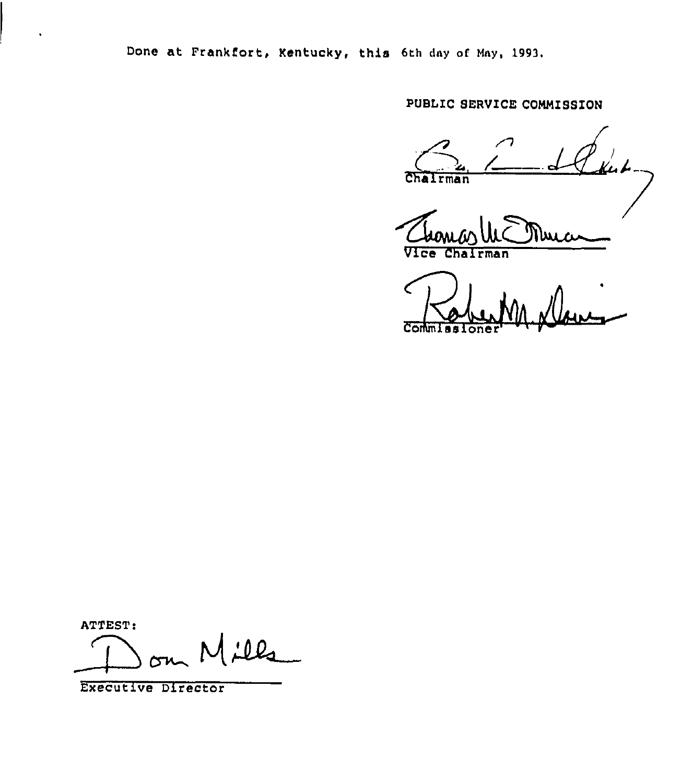Done at Frankfort, Kentucky, this 6th day of May, 1993.

PUBLIC SERVICE COMMISSION

Chairman

Vice rman

C Commissione

ATTEST:

Milla

Executive Director